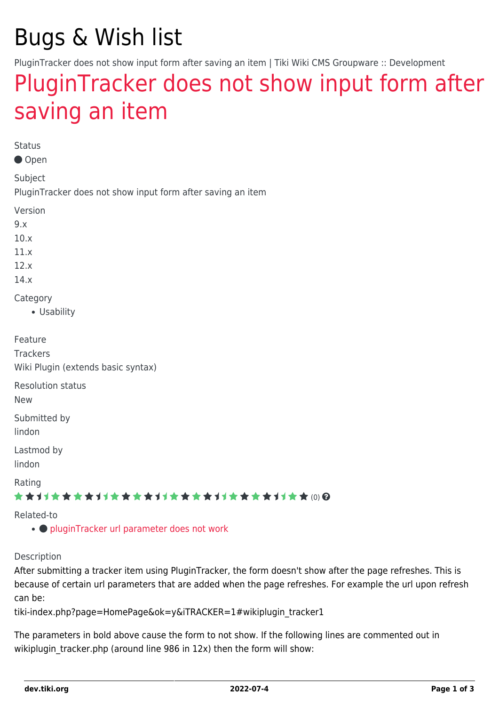## Bugs & Wish list

PluginTracker does not show input form after saving an item | Tiki Wiki CMS Groupware :: Development

## [PluginTracker does not show input form after](https://dev.tiki.org/item5144-PluginTracker-does-not-show-input-form-after-saving-an-item) [saving an item](https://dev.tiki.org/item5144-PluginTracker-does-not-show-input-form-after-saving-an-item)

Status

Open

Subject

PluginTracker does not show input form after saving an item

Version

9.x

10.x

11.x

12.x

14.x

**Category** 

Usability

| Feature                            |
|------------------------------------|
| <b>Trackers</b>                    |
| Wiki Plugin (extends basic syntax) |
| <b>Resolution status</b>           |
| <b>New</b>                         |
| Submitted by                       |
| lindon                             |
| Lastmod by                         |
| lindon                             |
| Rating                             |
| ★★オオ★★★★オオ★★★★オオ★★★★オオ★★★★オオ★★⑽@   |
|                                    |

Related-to

•  $\bullet$  [pluginTracker url parameter does not work](https://dev.tiki.org/item5079-pluginTracker-url-parameter-does-not-work)

Description

After submitting a tracker item using PluginTracker, the form doesn't show after the page refreshes. This is because of certain url parameters that are added when the page refreshes. For example the url upon refresh can be:

tiki-index.php?page=HomePage&ok=y&iTRACKER=1#wikiplugin\_tracker1

The parameters in bold above cause the form to not show. If the following lines are commented out in wikiplugin tracker.php (around line 986 in 12x) then the form will show: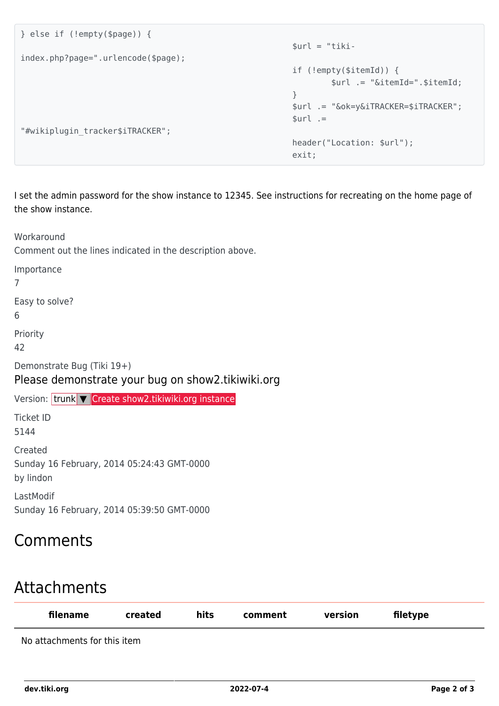```
} else if (!empty($page)) {
                                                                            $url = "tiki-
index.php?page=".urlencode($page);
                                                                            if (!empty($itemId)) {
                                                                                      $url .= "&itemId=".$itemId;
 }
                                                                            $url .= "&ok=y&iTRACKER=$iTRACKER";
                                                                           $url :="#wikiplugin_tracker$iTRACKER";
                                                                            header("Location: $url");
exit; the contract of the contract of the contract of the contract of the contract of the contract of the contract of the contract of the contract of the contract of the contract of the contract of the contract of the cont
```
I set the admin password for the show instance to 12345. See instructions for recreating on the home page of the show instance.

Workaround

Comment out the lines indicated in the description above.

Importance

7

Easy to solve?

6

Priority

42

Demonstrate Bug (Tiki 19+)

Please demonstrate your bug on show2.tikiwiki.org

Version: trunk ▼ [Create show2.tikiwiki.org instance](#page--1-0) Ticket ID 5144 **Created** Sunday 16 February, 2014 05:24:43 GMT-0000 by lindon LastModif

Sunday 16 February, 2014 05:39:50 GMT-0000

## Comments

## Attachments

| filename                     | created | hits | comment | version | filetype |
|------------------------------|---------|------|---------|---------|----------|
| No attachments for this item |         |      |         |         |          |